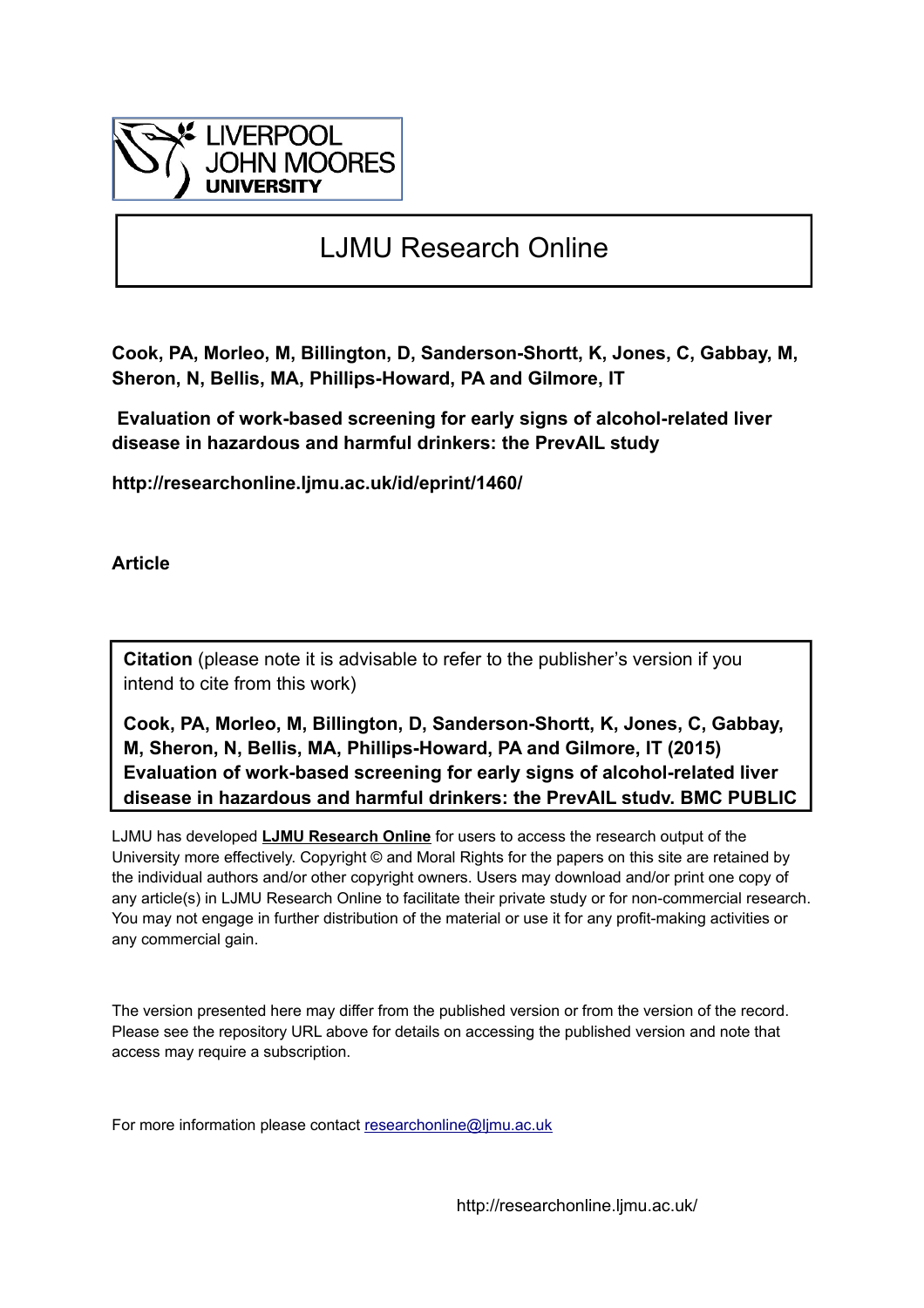

# LJMU Research Online

**Cook, PA, Morleo, M, Billington, D, Sanderson-Shortt, K, Jones, C, Gabbay, M, Sheron, N, Bellis, MA, Phillips-Howard, PA and Gilmore, IT**

 **Evaluation of work-based screening for early signs of alcohol-related liver disease in hazardous and harmful drinkers: the PrevAIL study**

**http://researchonline.ljmu.ac.uk/id/eprint/1460/**

**Article**

**Citation** (please note it is advisable to refer to the publisher's version if you intend to cite from this work)

**Cook, PA, Morleo, M, Billington, D, Sanderson-Shortt, K, Jones, C, Gabbay, M, Sheron, N, Bellis, MA, Phillips-Howard, PA and Gilmore, IT (2015) Evaluation of work-based screening for early signs of alcohol-related liver disease in hazardous and harmful drinkers: the PrevAIL study. BMC PUBLIC**

LJMU has developed **[LJMU Research Online](http://researchonline.ljmu.ac.uk/)** for users to access the research output of the University more effectively. Copyright © and Moral Rights for the papers on this site are retained by the individual authors and/or other copyright owners. Users may download and/or print one copy of any article(s) in LJMU Research Online to facilitate their private study or for non-commercial research. You may not engage in further distribution of the material or use it for any profit-making activities or any commercial gain.

The version presented here may differ from the published version or from the version of the record. Please see the repository URL above for details on accessing the published version and note that access may require a subscription.

For more information please contact researchonline@limu.ac.uk

http://researchonline.ljmu.ac.uk/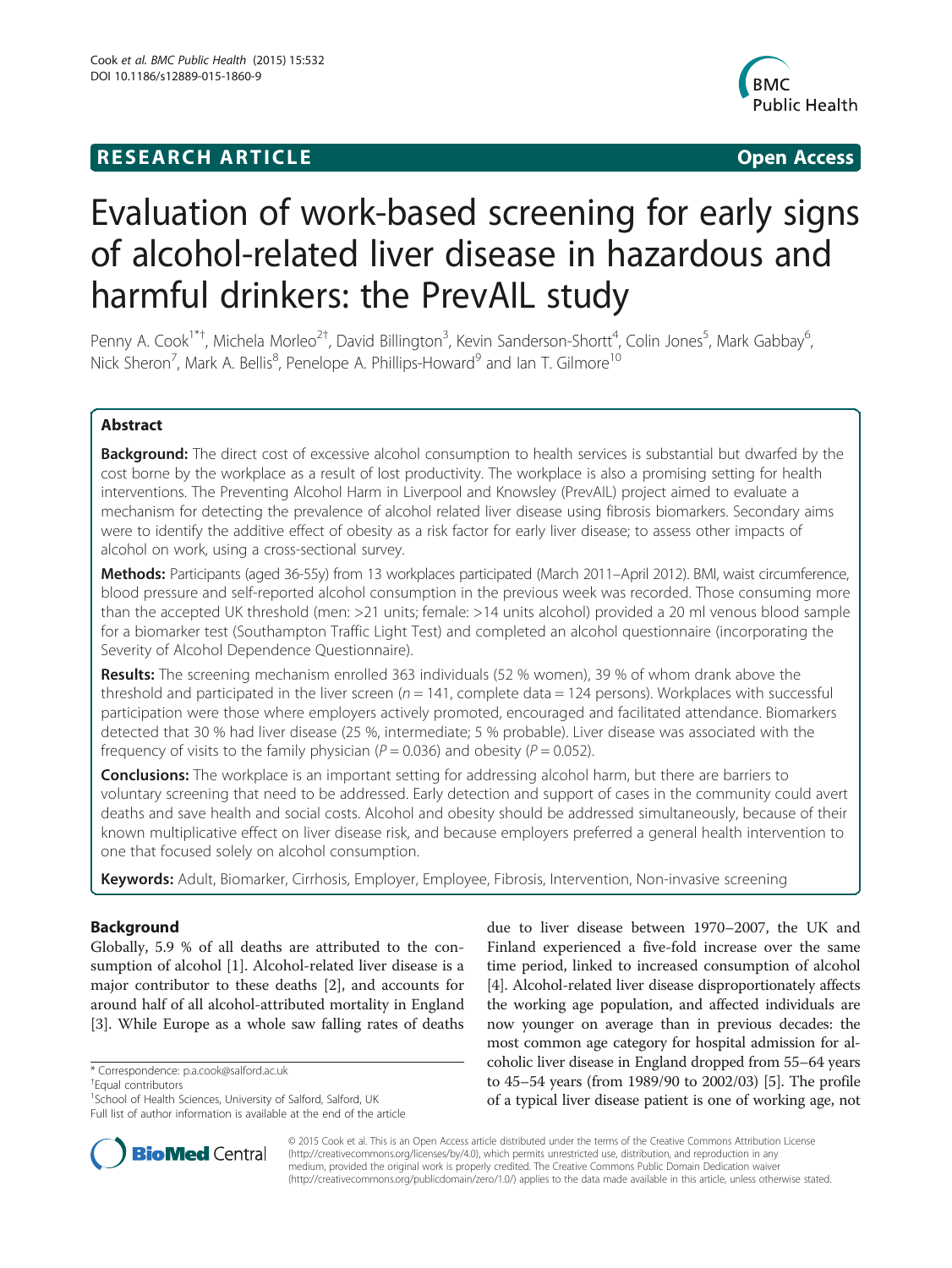# **RESEARCH ARTICLE Example 2018 12:00 Department of the Contract Open Access**



# Evaluation of work-based screening for early signs of alcohol-related liver disease in hazardous and harmful drinkers: the PrevAIL study

Penny A. Cook<sup>1\*†</sup>, Michela Morleo<sup>2†</sup>, David Billington<sup>3</sup>, Kevin Sanderson-Shortt<sup>4</sup>, Colin Jones<sup>5</sup>, Mark Gabbay<sup>6</sup> , Nick Sheron<sup>7</sup>, Mark A. Bellis<sup>8</sup>, Penelope A. Phillips-Howard<sup>9</sup> and Ian T. Gilmore<sup>10</sup>

# Abstract

Background: The direct cost of excessive alcohol consumption to health services is substantial but dwarfed by the cost borne by the workplace as a result of lost productivity. The workplace is also a promising setting for health interventions. The Preventing Alcohol Harm in Liverpool and Knowsley (PrevAIL) project aimed to evaluate a mechanism for detecting the prevalence of alcohol related liver disease using fibrosis biomarkers. Secondary aims were to identify the additive effect of obesity as a risk factor for early liver disease; to assess other impacts of alcohol on work, using a cross-sectional survey.

Methods: Participants (aged 36-55y) from 13 workplaces participated (March 2011–April 2012). BMI, waist circumference, blood pressure and self-reported alcohol consumption in the previous week was recorded. Those consuming more than the accepted UK threshold (men: >21 units; female: >14 units alcohol) provided a 20 ml venous blood sample for a biomarker test (Southampton Traffic Light Test) and completed an alcohol questionnaire (incorporating the Severity of Alcohol Dependence Questionnaire).

Results: The screening mechanism enrolled 363 individuals (52 % women), 39 % of whom drank above the threshold and participated in the liver screen ( $n = 141$ , complete data = 124 persons). Workplaces with successful participation were those where employers actively promoted, encouraged and facilitated attendance. Biomarkers detected that 30 % had liver disease (25 %, intermediate; 5 % probable). Liver disease was associated with the frequency of visits to the family physician ( $P = 0.036$ ) and obesity ( $P = 0.052$ ).

**Conclusions:** The workplace is an important setting for addressing alcohol harm, but there are barriers to voluntary screening that need to be addressed. Early detection and support of cases in the community could avert deaths and save health and social costs. Alcohol and obesity should be addressed simultaneously, because of their known multiplicative effect on liver disease risk, and because employers preferred a general health intervention to one that focused solely on alcohol consumption.

Keywords: Adult, Biomarker, Cirrhosis, Employer, Employee, Fibrosis, Intervention, Non-invasive screening

# Background

Globally, 5.9 % of all deaths are attributed to the con-sumption of alcohol [[1\]](#page-8-0). Alcohol-related liver disease is a major contributor to these deaths [[2\]](#page-8-0), and accounts for around half of all alcohol-attributed mortality in England [[3\]](#page-8-0). While Europe as a whole saw falling rates of deaths

Equal contributors

due to liver disease between 1970–2007, the UK and Finland experienced a five-fold increase over the same time period, linked to increased consumption of alcohol [[4\]](#page-8-0). Alcohol-related liver disease disproportionately affects the working age population, and affected individuals are now younger on average than in previous decades: the most common age category for hospital admission for alcoholic liver disease in England dropped from 55–64 years to 45–54 years (from 1989/90 to 2002/03) [[5\]](#page-8-0). The profile of a typical liver disease patient is one of working age, not



© 2015 Cook et al. This is an Open Access article distributed under the terms of the Creative Commons Attribution License [\(http://creativecommons.org/licenses/by/4.0\)](http://creativecommons.org/licenses/by/4.0), which permits unrestricted use, distribution, and reproduction in any medium, provided the original work is properly credited. The Creative Commons Public Domain Dedication waiver [\(http://creativecommons.org/publicdomain/zero/1.0/](http://creativecommons.org/publicdomain/zero/1.0/)) applies to the data made available in this article, unless otherwise stated.

<sup>\*</sup> Correspondence: [p.a.cook@salford.ac.uk](mailto:p.a.cook@salford.ac.uk) †

<sup>&</sup>lt;sup>1</sup>School of Health Sciences, University of Salford, Salford, UK Full list of author information is available at the end of the article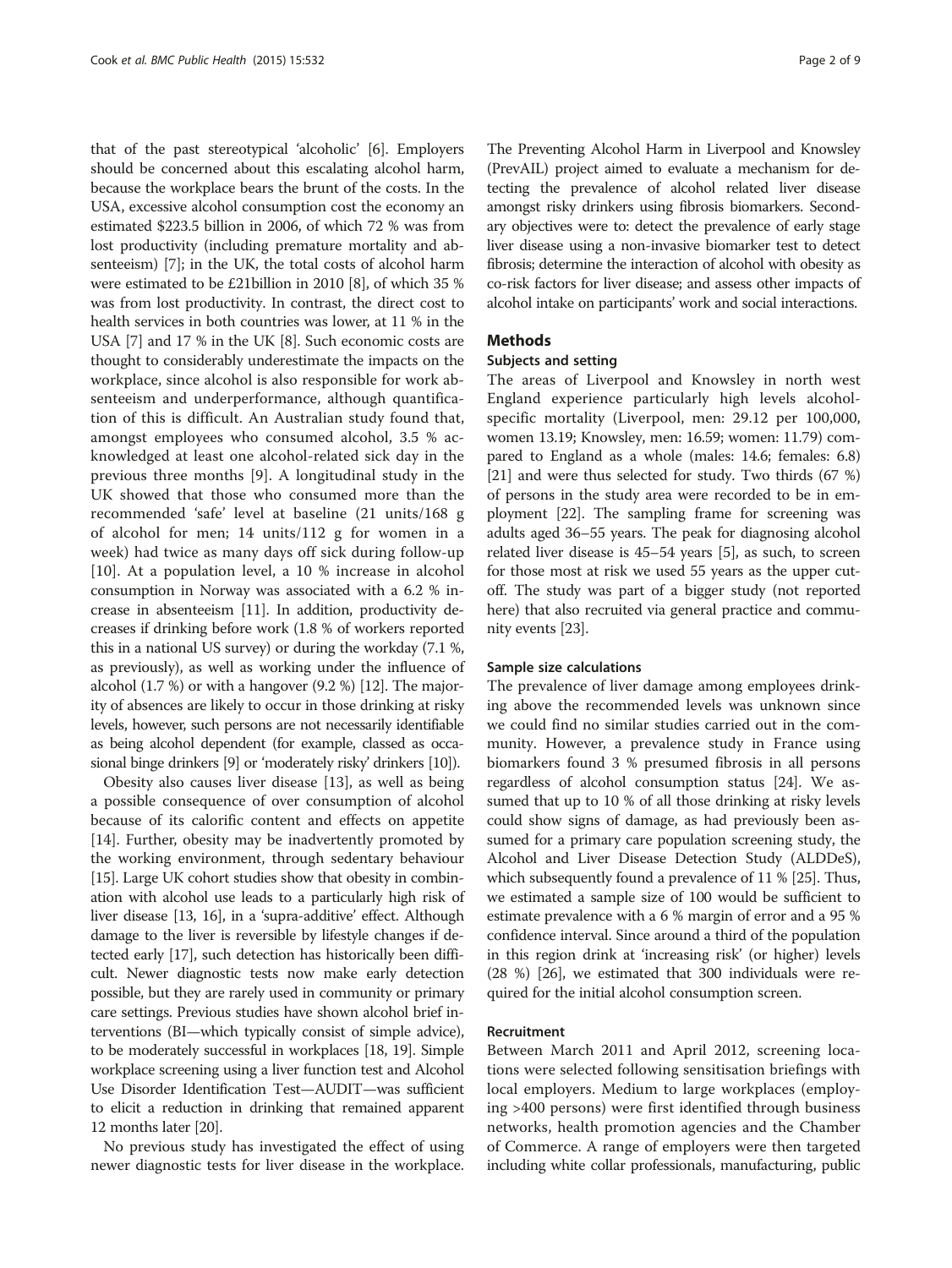that of the past stereotypical 'alcoholic' [\[6](#page-8-0)]. Employers should be concerned about this escalating alcohol harm, because the workplace bears the brunt of the costs. In the USA, excessive alcohol consumption cost the economy an estimated \$223.5 billion in 2006, of which 72 % was from lost productivity (including premature mortality and absenteeism) [[7](#page-8-0)]; in the UK, the total costs of alcohol harm were estimated to be £21billion in 2010 [\[8\]](#page-8-0), of which 35 % was from lost productivity. In contrast, the direct cost to health services in both countries was lower, at 11 % in the USA [[7](#page-8-0)] and 17 % in the UK [\[8\]](#page-8-0). Such economic costs are thought to considerably underestimate the impacts on the workplace, since alcohol is also responsible for work absenteeism and underperformance, although quantification of this is difficult. An Australian study found that, amongst employees who consumed alcohol, 3.5 % acknowledged at least one alcohol-related sick day in the previous three months [[9\]](#page-8-0). A longitudinal study in the UK showed that those who consumed more than the recommended 'safe' level at baseline (21 units/168 g of alcohol for men; 14 units/112 g for women in a week) had twice as many days off sick during follow-up [[10\]](#page-8-0). At a population level, a 10 % increase in alcohol consumption in Norway was associated with a 6.2 % increase in absenteeism [[11](#page-8-0)]. In addition, productivity decreases if drinking before work (1.8 % of workers reported this in a national US survey) or during the workday (7.1 %, as previously), as well as working under the influence of alcohol (1.7 %) or with a hangover (9.2 %) [\[12\]](#page-8-0). The majority of absences are likely to occur in those drinking at risky levels, however, such persons are not necessarily identifiable as being alcohol dependent (for example, classed as occasional binge drinkers [\[9](#page-8-0)] or 'moderately risky' drinkers [\[10](#page-8-0)]).

Obesity also causes liver disease [[13](#page-8-0)], as well as being a possible consequence of over consumption of alcohol because of its calorific content and effects on appetite [[14\]](#page-8-0). Further, obesity may be inadvertently promoted by the working environment, through sedentary behaviour [[15](#page-8-0)]. Large UK cohort studies show that obesity in combination with alcohol use leads to a particularly high risk of liver disease [\[13, 16](#page-8-0)], in a 'supra-additive' effect. Although damage to the liver is reversible by lifestyle changes if detected early [[17](#page-8-0)], such detection has historically been difficult. Newer diagnostic tests now make early detection possible, but they are rarely used in community or primary care settings. Previous studies have shown alcohol brief interventions (BI—which typically consist of simple advice), to be moderately successful in workplaces [\[18](#page-8-0), [19](#page-8-0)]. Simple workplace screening using a liver function test and Alcohol Use Disorder Identification Test—AUDIT—was sufficient to elicit a reduction in drinking that remained apparent 12 months later [[20](#page-8-0)].

No previous study has investigated the effect of using newer diagnostic tests for liver disease in the workplace.

The Preventing Alcohol Harm in Liverpool and Knowsley (PrevAIL) project aimed to evaluate a mechanism for detecting the prevalence of alcohol related liver disease amongst risky drinkers using fibrosis biomarkers. Secondary objectives were to: detect the prevalence of early stage liver disease using a non-invasive biomarker test to detect fibrosis; determine the interaction of alcohol with obesity as co-risk factors for liver disease; and assess other impacts of alcohol intake on participants' work and social interactions.

#### Methods

## Subjects and setting

The areas of Liverpool and Knowsley in north west England experience particularly high levels alcoholspecific mortality (Liverpool, men: 29.12 per 100,000, women 13.19; Knowsley, men: 16.59; women: 11.79) compared to England as a whole (males: 14.6; females: 6.8) [[21](#page-8-0)] and were thus selected for study. Two thirds (67 %) of persons in the study area were recorded to be in employment [\[22\]](#page-8-0). The sampling frame for screening was adults aged 36–55 years. The peak for diagnosing alcohol related liver disease is 45–54 years [\[5](#page-8-0)], as such, to screen for those most at risk we used 55 years as the upper cutoff. The study was part of a bigger study (not reported here) that also recruited via general practice and community events [[23](#page-8-0)].

#### Sample size calculations

The prevalence of liver damage among employees drinking above the recommended levels was unknown since we could find no similar studies carried out in the community. However, a prevalence study in France using biomarkers found 3 % presumed fibrosis in all persons regardless of alcohol consumption status [\[24\]](#page-9-0). We assumed that up to 10 % of all those drinking at risky levels could show signs of damage, as had previously been assumed for a primary care population screening study, the Alcohol and Liver Disease Detection Study (ALDDeS), which subsequently found a prevalence of 11 % [\[25](#page-9-0)]. Thus, we estimated a sample size of 100 would be sufficient to estimate prevalence with a 6 % margin of error and a 95 % confidence interval. Since around a third of the population in this region drink at 'increasing risk' (or higher) levels (28 %) [\[26](#page-9-0)], we estimated that 300 individuals were required for the initial alcohol consumption screen.

# Recruitment

Between March 2011 and April 2012, screening locations were selected following sensitisation briefings with local employers. Medium to large workplaces (employing >400 persons) were first identified through business networks, health promotion agencies and the Chamber of Commerce. A range of employers were then targeted including white collar professionals, manufacturing, public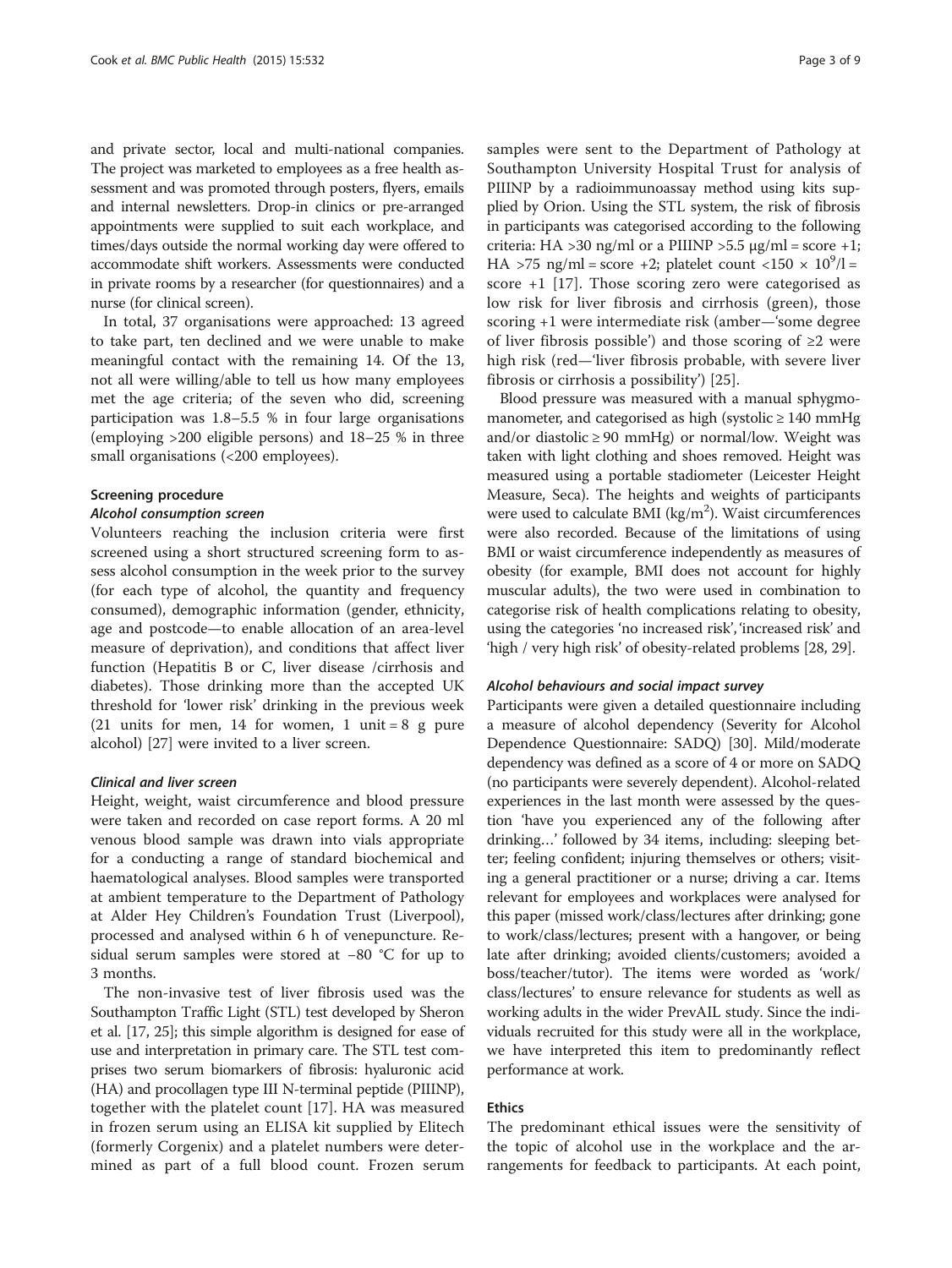and private sector, local and multi-national companies. The project was marketed to employees as a free health assessment and was promoted through posters, flyers, emails and internal newsletters. Drop-in clinics or pre-arranged appointments were supplied to suit each workplace, and times/days outside the normal working day were offered to accommodate shift workers. Assessments were conducted in private rooms by a researcher (for questionnaires) and a nurse (for clinical screen).

In total, 37 organisations were approached: 13 agreed to take part, ten declined and we were unable to make meaningful contact with the remaining 14. Of the 13, not all were willing/able to tell us how many employees met the age criteria; of the seven who did, screening participation was 1.8–5.5 % in four large organisations (employing >200 eligible persons) and 18–25 % in three small organisations (<200 employees).

#### Screening procedure

#### Alcohol consumption screen

Volunteers reaching the inclusion criteria were first screened using a short structured screening form to assess alcohol consumption in the week prior to the survey (for each type of alcohol, the quantity and frequency consumed), demographic information (gender, ethnicity, age and postcode—to enable allocation of an area-level measure of deprivation), and conditions that affect liver function (Hepatitis B or C, liver disease /cirrhosis and diabetes). Those drinking more than the accepted UK threshold for 'lower risk' drinking in the previous week (21 units for men, 14 for women, 1 unit  $= 8$  g pure alcohol) [\[27](#page-9-0)] were invited to a liver screen.

# Clinical and liver screen

Height, weight, waist circumference and blood pressure were taken and recorded on case report forms. A 20 ml venous blood sample was drawn into vials appropriate for a conducting a range of standard biochemical and haematological analyses. Blood samples were transported at ambient temperature to the Department of Pathology at Alder Hey Children's Foundation Trust (Liverpool), processed and analysed within 6 h of venepuncture. Residual serum samples were stored at −80 °C for up to 3 months.

The non-invasive test of liver fibrosis used was the Southampton Traffic Light (STL) test developed by Sheron et al. [\[17](#page-8-0), [25](#page-9-0)]; this simple algorithm is designed for ease of use and interpretation in primary care. The STL test comprises two serum biomarkers of fibrosis: hyaluronic acid (HA) and procollagen type III N-terminal peptide (PIIINP), together with the platelet count [[17\]](#page-8-0). HA was measured in frozen serum using an ELISA kit supplied by Elitech (formerly Corgenix) and a platelet numbers were determined as part of a full blood count. Frozen serum

samples were sent to the Department of Pathology at Southampton University Hospital Trust for analysis of PIIINP by a radioimmunoassay method using kits supplied by Orion. Using the STL system, the risk of fibrosis in participants was categorised according to the following criteria: HA >30 ng/ml or a PIIINP >5.5  $\mu$ g/ml = score +1; HA >75 ng/ml = score +2; platelet count <150  $\times$  10<sup>9</sup>/l = score +1 [[17](#page-8-0)]. Those scoring zero were categorised as low risk for liver fibrosis and cirrhosis (green), those scoring +1 were intermediate risk (amber—'some degree of liver fibrosis possible') and those scoring of  $\geq 2$  were high risk (red—'liver fibrosis probable, with severe liver fibrosis or cirrhosis a possibility') [[25\]](#page-9-0).

Blood pressure was measured with a manual sphygmomanometer, and categorised as high (systolic  $\geq 140$  mmHg and/or diastolic  $\geq 90$  mmHg) or normal/low. Weight was taken with light clothing and shoes removed. Height was measured using a portable stadiometer (Leicester Height Measure, Seca). The heights and weights of participants were used to calculate BMI (kg/m<sup>2</sup>). Waist circumferences were also recorded. Because of the limitations of using BMI or waist circumference independently as measures of obesity (for example, BMI does not account for highly muscular adults), the two were used in combination to categorise risk of health complications relating to obesity, using the categories 'no increased risk', 'increased risk' and 'high / very high risk' of obesity-related problems [\[28, 29](#page-9-0)].

#### Alcohol behaviours and social impact survey

Participants were given a detailed questionnaire including a measure of alcohol dependency (Severity for Alcohol Dependence Questionnaire: SADQ) [[30\]](#page-9-0). Mild/moderate dependency was defined as a score of 4 or more on SADQ (no participants were severely dependent). Alcohol-related experiences in the last month were assessed by the question 'have you experienced any of the following after drinking…' followed by 34 items, including: sleeping better; feeling confident; injuring themselves or others; visiting a general practitioner or a nurse; driving a car. Items relevant for employees and workplaces were analysed for this paper (missed work/class/lectures after drinking; gone to work/class/lectures; present with a hangover, or being late after drinking; avoided clients/customers; avoided a boss/teacher/tutor). The items were worded as 'work/ class/lectures' to ensure relevance for students as well as working adults in the wider PrevAIL study. Since the individuals recruited for this study were all in the workplace, we have interpreted this item to predominantly reflect performance at work.

# Ethics

The predominant ethical issues were the sensitivity of the topic of alcohol use in the workplace and the arrangements for feedback to participants. At each point,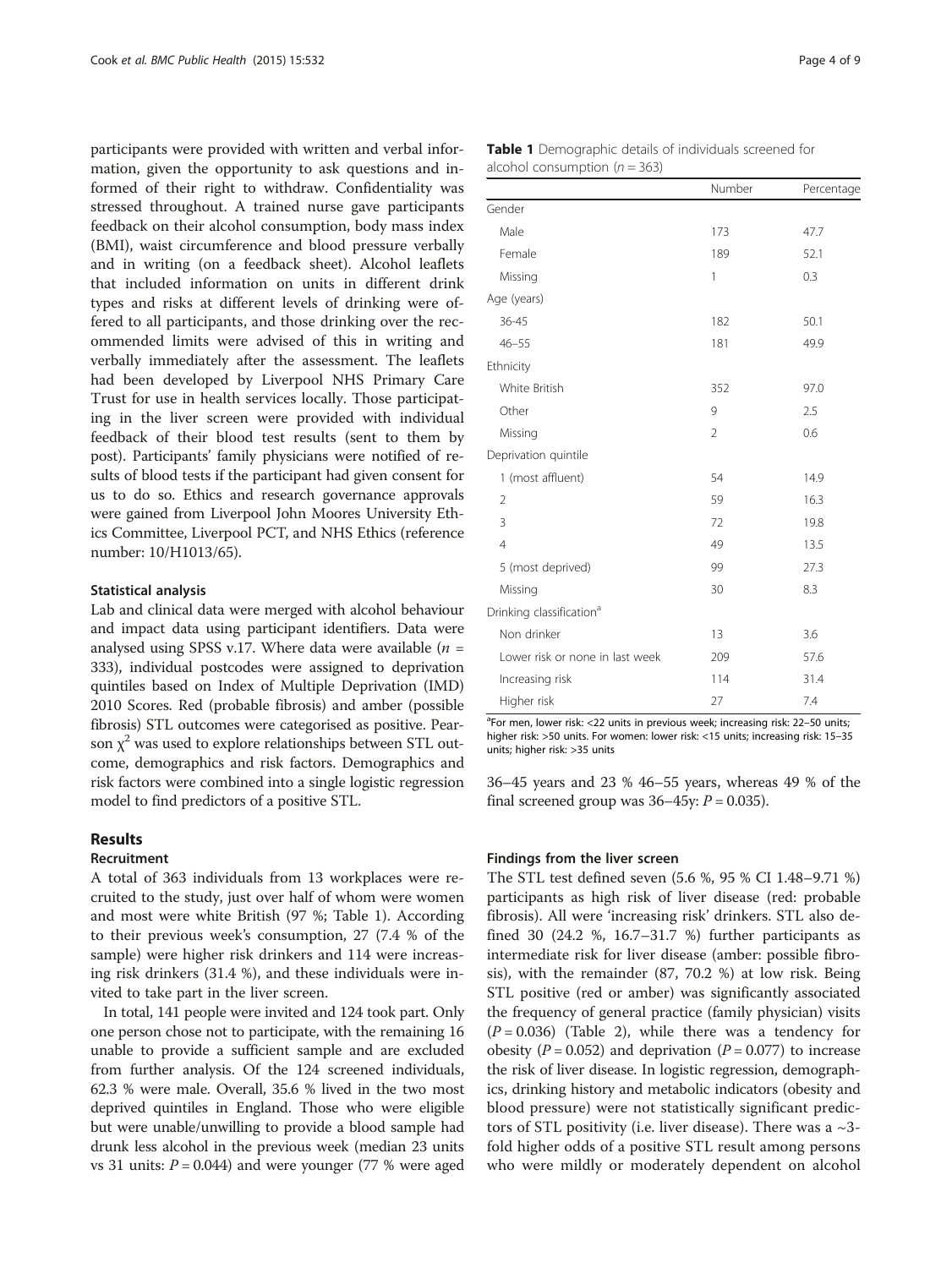participants were provided with written and verbal information, given the opportunity to ask questions and informed of their right to withdraw. Confidentiality was stressed throughout. A trained nurse gave participants feedback on their alcohol consumption, body mass index (BMI), waist circumference and blood pressure verbally and in writing (on a feedback sheet). Alcohol leaflets that included information on units in different drink types and risks at different levels of drinking were offered to all participants, and those drinking over the recommended limits were advised of this in writing and verbally immediately after the assessment. The leaflets had been developed by Liverpool NHS Primary Care Trust for use in health services locally. Those participating in the liver screen were provided with individual feedback of their blood test results (sent to them by post). Participants' family physicians were notified of results of blood tests if the participant had given consent for us to do so. Ethics and research governance approvals were gained from Liverpool John Moores University Ethics Committee, Liverpool PCT, and NHS Ethics (reference number: 10/H1013/65).

#### Statistical analysis

Lab and clinical data were merged with alcohol behaviour and impact data using participant identifiers. Data were analysed using SPSS v.17. Where data were available ( $n =$ 333), individual postcodes were assigned to deprivation quintiles based on Index of Multiple Deprivation (IMD) 2010 Scores. Red (probable fibrosis) and amber (possible fibrosis) STL outcomes were categorised as positive. Pearson  $\chi^2$  was used to explore relationships between STL outcome, demographics and risk factors. Demographics and risk factors were combined into a single logistic regression model to find predictors of a positive STL.

#### Results

#### Recruitment

A total of 363 individuals from 13 workplaces were recruited to the study, just over half of whom were women and most were white British (97 %; Table 1). According to their previous week's consumption, 27 (7.4 % of the sample) were higher risk drinkers and 114 were increasing risk drinkers (31.4 %), and these individuals were invited to take part in the liver screen.

In total, 141 people were invited and 124 took part. Only one person chose not to participate, with the remaining 16 unable to provide a sufficient sample and are excluded from further analysis. Of the 124 screened individuals, 62.3 % were male. Overall, 35.6 % lived in the two most deprived quintiles in England. Those who were eligible but were unable/unwilling to provide a blood sample had drunk less alcohol in the previous week (median 23 units vs 31 units:  $P = 0.044$ ) and were younger (77 % were aged

| Table 1 Demographic details of individuals screened for |  |
|---------------------------------------------------------|--|
| alcohol consumption $(n = 363)$                         |  |

| alcohol consumption ( $n = 363$ )    |                |            |  |  |  |
|--------------------------------------|----------------|------------|--|--|--|
|                                      | Number         | Percentage |  |  |  |
| Gender                               |                |            |  |  |  |
| Male                                 | 173            | 47.7       |  |  |  |
| Female                               | 189            | 52.1       |  |  |  |
| Missing                              | 1              | 0.3        |  |  |  |
| Age (years)                          |                |            |  |  |  |
| 36-45                                | 182            | 50.1       |  |  |  |
| $46 - 55$                            | 181            | 49.9       |  |  |  |
| Ethnicity                            |                |            |  |  |  |
| White British                        | 352            | 97.0       |  |  |  |
| Other                                | 9              | 2.5        |  |  |  |
| Missing                              | $\overline{2}$ | 0.6        |  |  |  |
| Deprivation quintile                 |                |            |  |  |  |
| 1 (most affluent)                    | 54             | 14.9       |  |  |  |
| $\overline{2}$                       | 59             | 16.3       |  |  |  |
| 3                                    | 72             | 19.8       |  |  |  |
| $\overline{4}$                       | 49             | 13.5       |  |  |  |
| 5 (most deprived)                    | 99             | 27.3       |  |  |  |
| Missing                              | 30             | 8.3        |  |  |  |
| Drinking classification <sup>a</sup> |                |            |  |  |  |
| Non drinker                          | 13             | 3.6        |  |  |  |
| Lower risk or none in last week      | 209            | 57.6       |  |  |  |
| Increasing risk                      | 114            | 31.4       |  |  |  |
| Higher risk                          | 27             | 7.4        |  |  |  |

<sup>a</sup>For men, lower risk: <22 units in previous week; increasing risk: 22-50 units higher risk: >50 units. For women: lower risk: <15 units; increasing risk: 15–35 units; higher risk: >35 units

36–45 years and 23 % 46–55 years, whereas 49 % of the final screened group was  $36-45y$ :  $P = 0.035$ ).

#### Findings from the liver screen

The STL test defined seven (5.6 %, 95 % CI 1.48–9.71 %) participants as high risk of liver disease (red: probable fibrosis). All were 'increasing risk' drinkers. STL also defined 30 (24.2 %, 16.7–31.7 %) further participants as intermediate risk for liver disease (amber: possible fibrosis), with the remainder (87, 70.2 %) at low risk. Being STL positive (red or amber) was significantly associated the frequency of general practice (family physician) visits  $(P = 0.036)$  (Table [2](#page-5-0)), while there was a tendency for obesity ( $P = 0.052$ ) and deprivation ( $P = 0.077$ ) to increase the risk of liver disease. In logistic regression, demographics, drinking history and metabolic indicators (obesity and blood pressure) were not statistically significant predictors of STL positivity (i.e. liver disease). There was a  $\sim$ 3fold higher odds of a positive STL result among persons who were mildly or moderately dependent on alcohol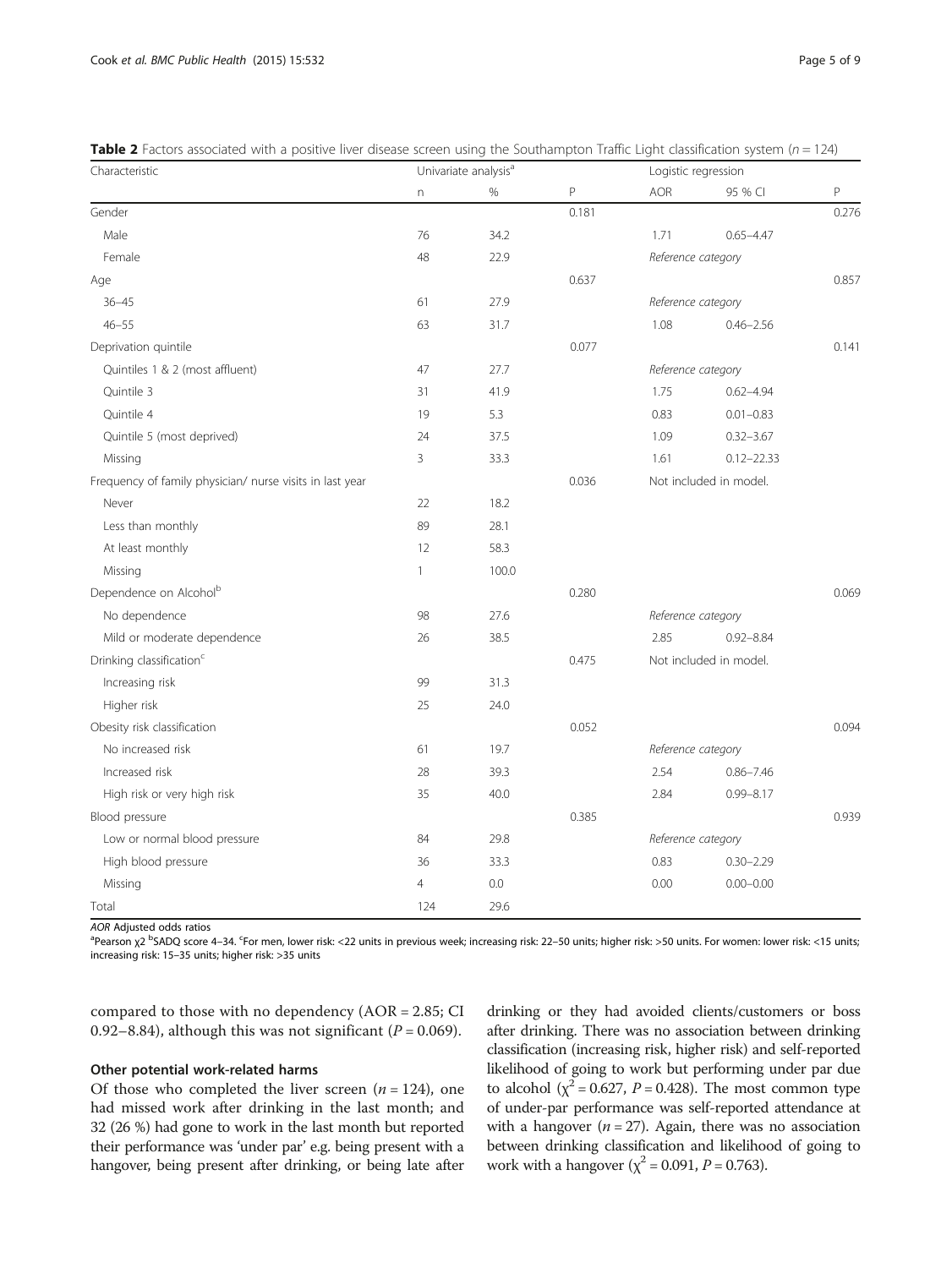<span id="page-5-0"></span>

|                                                  | <b>Table 2</b> Factors associated with a positive liver disease screen using the Southampton Traffic Light classification system ( $n = 124$ ) |                                                                                                                 |  |
|--------------------------------------------------|------------------------------------------------------------------------------------------------------------------------------------------------|-----------------------------------------------------------------------------------------------------------------|--|
| $\sim$ $\sim$ $\sim$ $\sim$ $\sim$ $\sim$ $\sim$ | . The state of the state $\mathbf{A}$                                                                                                          | the contract of the contract of the contract of the contract of the contract of the contract of the contract of |  |

| Characteristic                                           | Univariate analysis <sup>a</sup> |       | Logistic regression |                    |                        |       |
|----------------------------------------------------------|----------------------------------|-------|---------------------|--------------------|------------------------|-------|
|                                                          | n                                | %     | P                   | <b>AOR</b>         | 95 % CI                | P     |
| Gender                                                   |                                  |       | 0.181               |                    |                        | 0.276 |
| Male                                                     | 76                               | 34.2  |                     | 1.71               | $0.65 - 4.47$          |       |
| Female                                                   | 48                               | 22.9  |                     | Reference category |                        |       |
| Age                                                      |                                  |       | 0.637               |                    |                        | 0.857 |
| $36 - 45$                                                | 61                               | 27.9  |                     | Reference category |                        |       |
| $46 - 55$                                                | 63                               | 31.7  |                     | 1.08               | $0.46 - 2.56$          |       |
| Deprivation quintile                                     |                                  |       | 0.077               |                    |                        | 0.141 |
| Quintiles 1 & 2 (most affluent)                          | 47                               | 27.7  |                     | Reference category |                        |       |
| Quintile 3                                               | 31                               | 41.9  |                     | 1.75               | $0.62 - 4.94$          |       |
| Quintile 4                                               | 19                               | 5.3   |                     | 0.83               | $0.01 - 0.83$          |       |
| Quintile 5 (most deprived)                               | 24                               | 37.5  |                     | 1.09               | $0.32 - 3.67$          |       |
| Missing                                                  | 3                                | 33.3  |                     | 1.61               | $0.12 - 22.33$         |       |
| Frequency of family physician/ nurse visits in last year |                                  |       | 0.036               |                    | Not included in model. |       |
| Never                                                    | 22                               | 18.2  |                     |                    |                        |       |
| Less than monthly                                        | 89                               | 28.1  |                     |                    |                        |       |
| At least monthly                                         | 12                               | 58.3  |                     |                    |                        |       |
| Missing                                                  | $\mathbf{1}$                     | 100.0 |                     |                    |                        |       |
| Dependence on Alcohol <sup>b</sup>                       |                                  |       | 0.280               |                    |                        | 0.069 |
| No dependence                                            | 98                               | 27.6  |                     | Reference category |                        |       |
| Mild or moderate dependence                              | 26                               | 38.5  |                     | 2.85               | $0.92 - 8.84$          |       |
| Drinking classification <sup>c</sup>                     |                                  |       | 0.475               |                    | Not included in model. |       |
| Increasing risk                                          | 99                               | 31.3  |                     |                    |                        |       |
| Higher risk                                              | 25                               | 24.0  |                     |                    |                        |       |
| Obesity risk classification                              |                                  |       | 0.052               |                    |                        | 0.094 |
| No increased risk                                        | 61                               | 19.7  |                     | Reference category |                        |       |
| Increased risk                                           | 28                               | 39.3  |                     | 2.54               | $0.86 - 7.46$          |       |
| High risk or very high risk                              | 35                               | 40.0  |                     | 2.84               | $0.99 - 8.17$          |       |
| Blood pressure                                           |                                  |       | 0.385               |                    |                        | 0.939 |
| Low or normal blood pressure                             | 84                               | 29.8  |                     | Reference category |                        |       |
| High blood pressure                                      | 36                               | 33.3  |                     | 0.83               | $0.30 - 2.29$          |       |
| Missing                                                  | $\overline{4}$                   | 0.0   |                     | 0.00               | $0.00 - 0.00$          |       |
| Total                                                    | 124                              | 29.6  |                     |                    |                        |       |

AOR Adjusted odds ratios

Pearson χ2 <sup>b</sup>SADQ score 4–34. <sup>c</sup>For men, lower risk: <22 units in previous week; increasing risk: 22–50 units; higher risk: >50 units. For women: lower risk: <15 units; increasing risk: 15–35 units; higher risk: >35 units

compared to those with no dependency (AOR = 2.85; CI 0.92–8.84), although this was not significant ( $P = 0.069$ ).

# Other potential work-related harms

Of those who completed the liver screen  $(n = 124)$ , one had missed work after drinking in the last month; and 32 (26 %) had gone to work in the last month but reported their performance was 'under par' e.g. being present with a hangover, being present after drinking, or being late after drinking or they had avoided clients/customers or boss after drinking. There was no association between drinking classification (increasing risk, higher risk) and self-reported likelihood of going to work but performing under par due to alcohol ( $\chi^2$  = 0.627, *P* = 0.428). The most common type of under-par performance was self-reported attendance at with a hangover  $(n = 27)$ . Again, there was no association between drinking classification and likelihood of going to work with a hangover ( $\chi^2$  = 0.091, *P* = 0.763).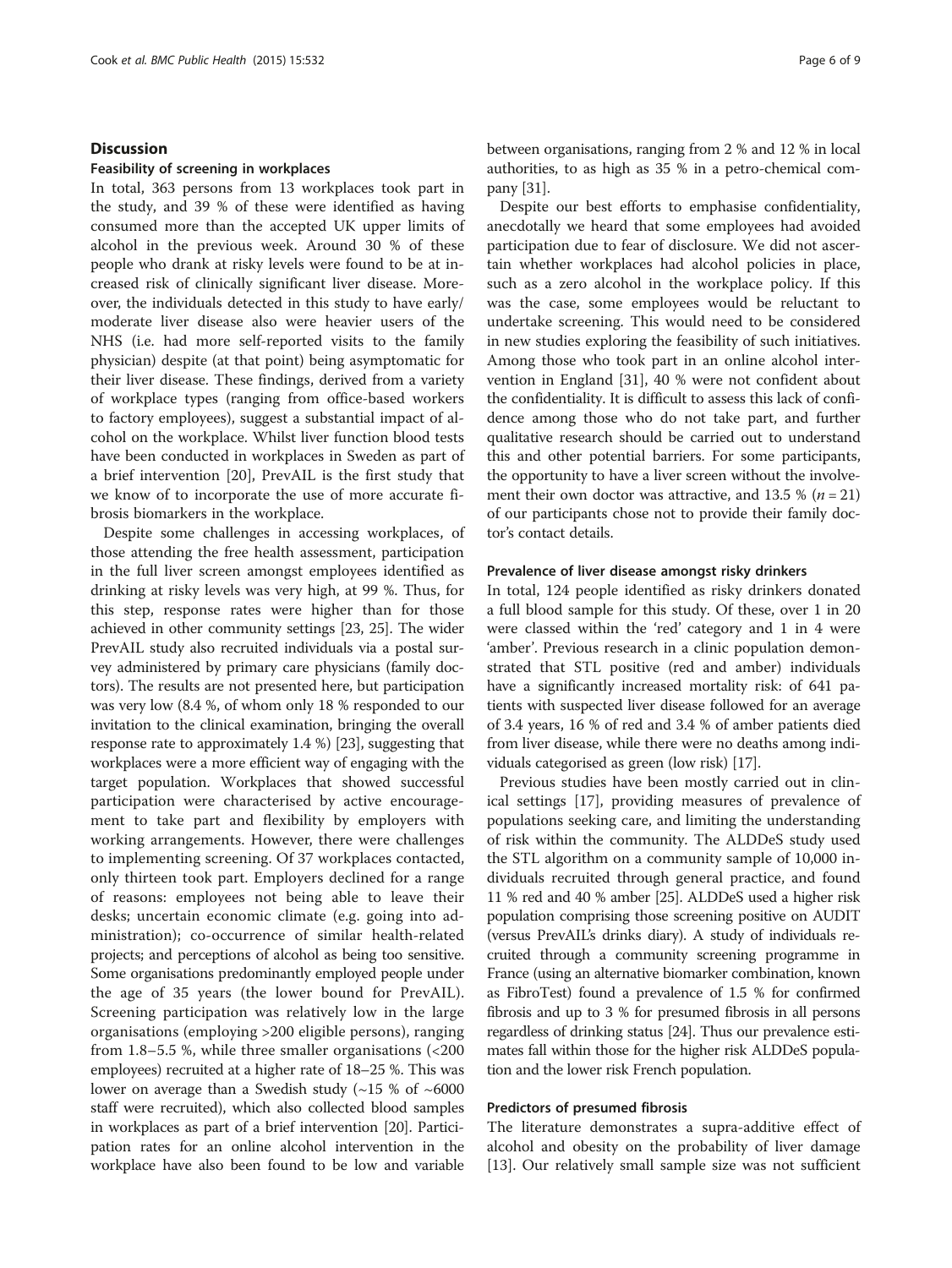## **Discussion**

## Feasibility of screening in workplaces

In total, 363 persons from 13 workplaces took part in the study, and 39 % of these were identified as having consumed more than the accepted UK upper limits of alcohol in the previous week. Around 30 % of these people who drank at risky levels were found to be at increased risk of clinically significant liver disease. Moreover, the individuals detected in this study to have early/ moderate liver disease also were heavier users of the NHS (i.e. had more self-reported visits to the family physician) despite (at that point) being asymptomatic for their liver disease. These findings, derived from a variety of workplace types (ranging from office-based workers to factory employees), suggest a substantial impact of alcohol on the workplace. Whilst liver function blood tests have been conducted in workplaces in Sweden as part of a brief intervention [[20\]](#page-8-0), PrevAIL is the first study that we know of to incorporate the use of more accurate fibrosis biomarkers in the workplace.

Despite some challenges in accessing workplaces, of those attending the free health assessment, participation in the full liver screen amongst employees identified as drinking at risky levels was very high, at 99 %. Thus, for this step, response rates were higher than for those achieved in other community settings [\[23,](#page-8-0) [25\]](#page-9-0). The wider PrevAIL study also recruited individuals via a postal survey administered by primary care physicians (family doctors). The results are not presented here, but participation was very low (8.4 %, of whom only 18 % responded to our invitation to the clinical examination, bringing the overall response rate to approximately 1.4 %) [\[23\]](#page-8-0), suggesting that workplaces were a more efficient way of engaging with the target population. Workplaces that showed successful participation were characterised by active encouragement to take part and flexibility by employers with working arrangements. However, there were challenges to implementing screening. Of 37 workplaces contacted, only thirteen took part. Employers declined for a range of reasons: employees not being able to leave their desks; uncertain economic climate (e.g. going into administration); co-occurrence of similar health-related projects; and perceptions of alcohol as being too sensitive. Some organisations predominantly employed people under the age of 35 years (the lower bound for PrevAIL). Screening participation was relatively low in the large organisations (employing >200 eligible persons), ranging from 1.8–5.5 %, while three smaller organisations (<200 employees) recruited at a higher rate of 18–25 %. This was lower on average than a Swedish study  $(\sim 15\% \text{ of } \sim 6000$ staff were recruited), which also collected blood samples in workplaces as part of a brief intervention [\[20\]](#page-8-0). Participation rates for an online alcohol intervention in the workplace have also been found to be low and variable

between organisations, ranging from 2 % and 12 % in local authorities, to as high as 35 % in a petro-chemical company [\[31](#page-9-0)].

Despite our best efforts to emphasise confidentiality, anecdotally we heard that some employees had avoided participation due to fear of disclosure. We did not ascertain whether workplaces had alcohol policies in place, such as a zero alcohol in the workplace policy. If this was the case, some employees would be reluctant to undertake screening. This would need to be considered in new studies exploring the feasibility of such initiatives. Among those who took part in an online alcohol intervention in England [[31](#page-9-0)], 40 % were not confident about the confidentiality. It is difficult to assess this lack of confidence among those who do not take part, and further qualitative research should be carried out to understand this and other potential barriers. For some participants, the opportunity to have a liver screen without the involvement their own doctor was attractive, and 13.5 % ( $n = 21$ ) of our participants chose not to provide their family doctor's contact details.

#### Prevalence of liver disease amongst risky drinkers

In total, 124 people identified as risky drinkers donated a full blood sample for this study. Of these, over 1 in 20 were classed within the 'red' category and 1 in 4 were 'amber'. Previous research in a clinic population demonstrated that STL positive (red and amber) individuals have a significantly increased mortality risk: of 641 patients with suspected liver disease followed for an average of 3.4 years, 16 % of red and 3.4 % of amber patients died from liver disease, while there were no deaths among individuals categorised as green (low risk) [\[17](#page-8-0)].

Previous studies have been mostly carried out in clinical settings [[17](#page-8-0)], providing measures of prevalence of populations seeking care, and limiting the understanding of risk within the community. The ALDDeS study used the STL algorithm on a community sample of 10,000 individuals recruited through general practice, and found 11 % red and 40 % amber [[25](#page-9-0)]. ALDDeS used a higher risk population comprising those screening positive on AUDIT (versus PrevAIL's drinks diary). A study of individuals recruited through a community screening programme in France (using an alternative biomarker combination, known as FibroTest) found a prevalence of 1.5 % for confirmed fibrosis and up to 3 % for presumed fibrosis in all persons regardless of drinking status [[24](#page-9-0)]. Thus our prevalence estimates fall within those for the higher risk ALDDeS population and the lower risk French population.

## Predictors of presumed fibrosis

The literature demonstrates a supra-additive effect of alcohol and obesity on the probability of liver damage [[13\]](#page-8-0). Our relatively small sample size was not sufficient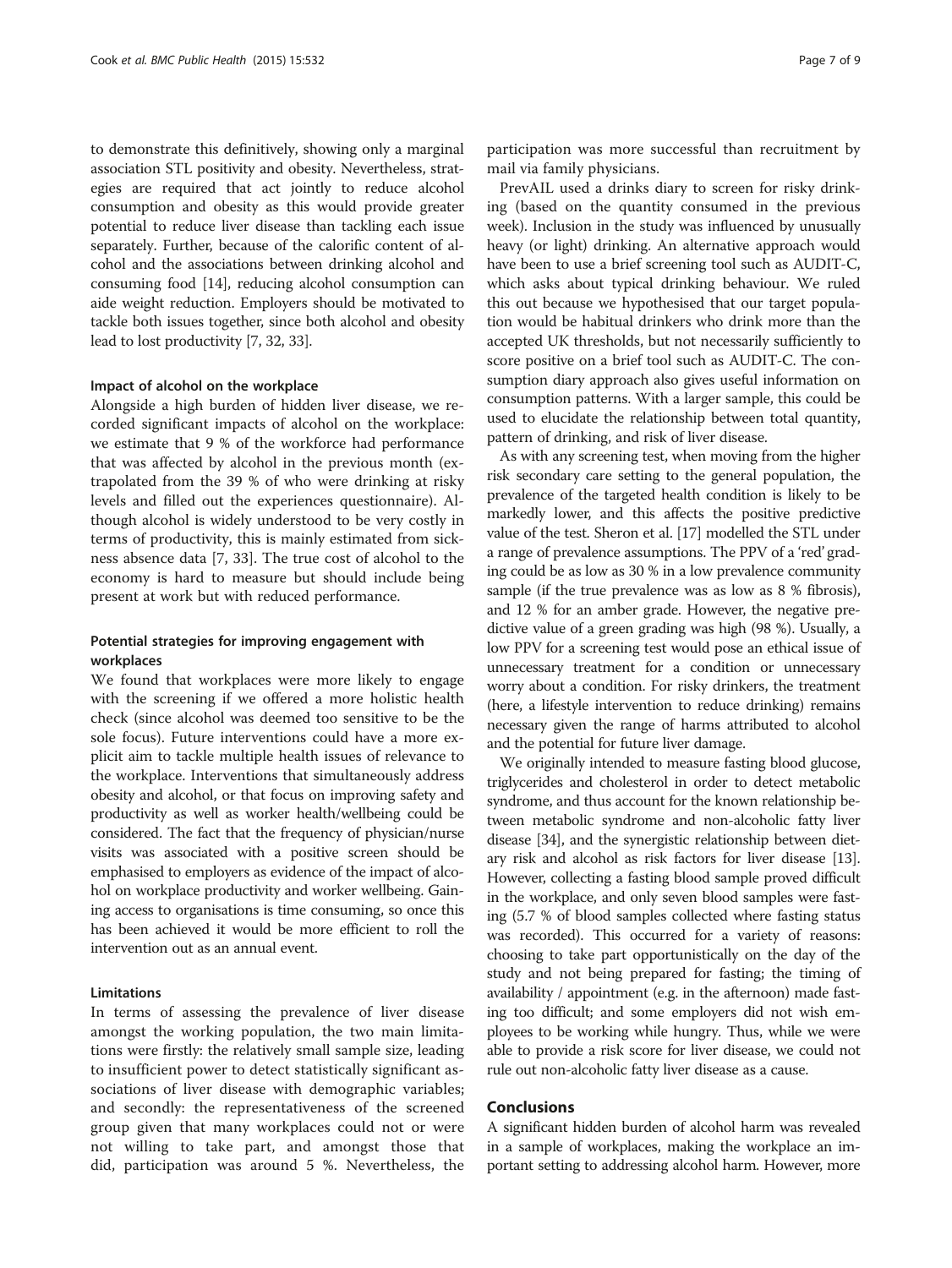to demonstrate this definitively, showing only a marginal association STL positivity and obesity. Nevertheless, strategies are required that act jointly to reduce alcohol consumption and obesity as this would provide greater potential to reduce liver disease than tackling each issue separately. Further, because of the calorific content of alcohol and the associations between drinking alcohol and consuming food [[14](#page-8-0)], reducing alcohol consumption can aide weight reduction. Employers should be motivated to tackle both issues together, since both alcohol and obesity lead to lost productivity [\[7,](#page-8-0) [32](#page-9-0), [33](#page-9-0)].

#### Impact of alcohol on the workplace

Alongside a high burden of hidden liver disease, we recorded significant impacts of alcohol on the workplace: we estimate that 9 % of the workforce had performance that was affected by alcohol in the previous month (extrapolated from the 39 % of who were drinking at risky levels and filled out the experiences questionnaire). Although alcohol is widely understood to be very costly in terms of productivity, this is mainly estimated from sickness absence data [[7,](#page-8-0) [33\]](#page-9-0). The true cost of alcohol to the economy is hard to measure but should include being present at work but with reduced performance.

# Potential strategies for improving engagement with workplaces

We found that workplaces were more likely to engage with the screening if we offered a more holistic health check (since alcohol was deemed too sensitive to be the sole focus). Future interventions could have a more explicit aim to tackle multiple health issues of relevance to the workplace. Interventions that simultaneously address obesity and alcohol, or that focus on improving safety and productivity as well as worker health/wellbeing could be considered. The fact that the frequency of physician/nurse visits was associated with a positive screen should be emphasised to employers as evidence of the impact of alcohol on workplace productivity and worker wellbeing. Gaining access to organisations is time consuming, so once this has been achieved it would be more efficient to roll the intervention out as an annual event.

## Limitations

In terms of assessing the prevalence of liver disease amongst the working population, the two main limitations were firstly: the relatively small sample size, leading to insufficient power to detect statistically significant associations of liver disease with demographic variables; and secondly: the representativeness of the screened group given that many workplaces could not or were not willing to take part, and amongst those that did, participation was around 5 %. Nevertheless, the

participation was more successful than recruitment by mail via family physicians.

PrevAIL used a drinks diary to screen for risky drinking (based on the quantity consumed in the previous week). Inclusion in the study was influenced by unusually heavy (or light) drinking. An alternative approach would have been to use a brief screening tool such as AUDIT-C, which asks about typical drinking behaviour. We ruled this out because we hypothesised that our target population would be habitual drinkers who drink more than the accepted UK thresholds, but not necessarily sufficiently to score positive on a brief tool such as AUDIT-C. The consumption diary approach also gives useful information on consumption patterns. With a larger sample, this could be used to elucidate the relationship between total quantity, pattern of drinking, and risk of liver disease.

As with any screening test, when moving from the higher risk secondary care setting to the general population, the prevalence of the targeted health condition is likely to be markedly lower, and this affects the positive predictive value of the test. Sheron et al. [[17](#page-8-0)] modelled the STL under a range of prevalence assumptions. The PPV of a 'red' grading could be as low as 30 % in a low prevalence community sample (if the true prevalence was as low as 8 % fibrosis), and 12 % for an amber grade. However, the negative predictive value of a green grading was high (98 %). Usually, a low PPV for a screening test would pose an ethical issue of unnecessary treatment for a condition or unnecessary worry about a condition. For risky drinkers, the treatment (here, a lifestyle intervention to reduce drinking) remains necessary given the range of harms attributed to alcohol and the potential for future liver damage.

We originally intended to measure fasting blood glucose, triglycerides and cholesterol in order to detect metabolic syndrome, and thus account for the known relationship between metabolic syndrome and non-alcoholic fatty liver disease [[34](#page-9-0)], and the synergistic relationship between dietary risk and alcohol as risk factors for liver disease [[13](#page-8-0)]. However, collecting a fasting blood sample proved difficult in the workplace, and only seven blood samples were fasting (5.7 % of blood samples collected where fasting status was recorded). This occurred for a variety of reasons: choosing to take part opportunistically on the day of the study and not being prepared for fasting; the timing of availability / appointment (e.g. in the afternoon) made fasting too difficult; and some employers did not wish employees to be working while hungry. Thus, while we were able to provide a risk score for liver disease, we could not rule out non-alcoholic fatty liver disease as a cause.

# Conclusions

A significant hidden burden of alcohol harm was revealed in a sample of workplaces, making the workplace an important setting to addressing alcohol harm. However, more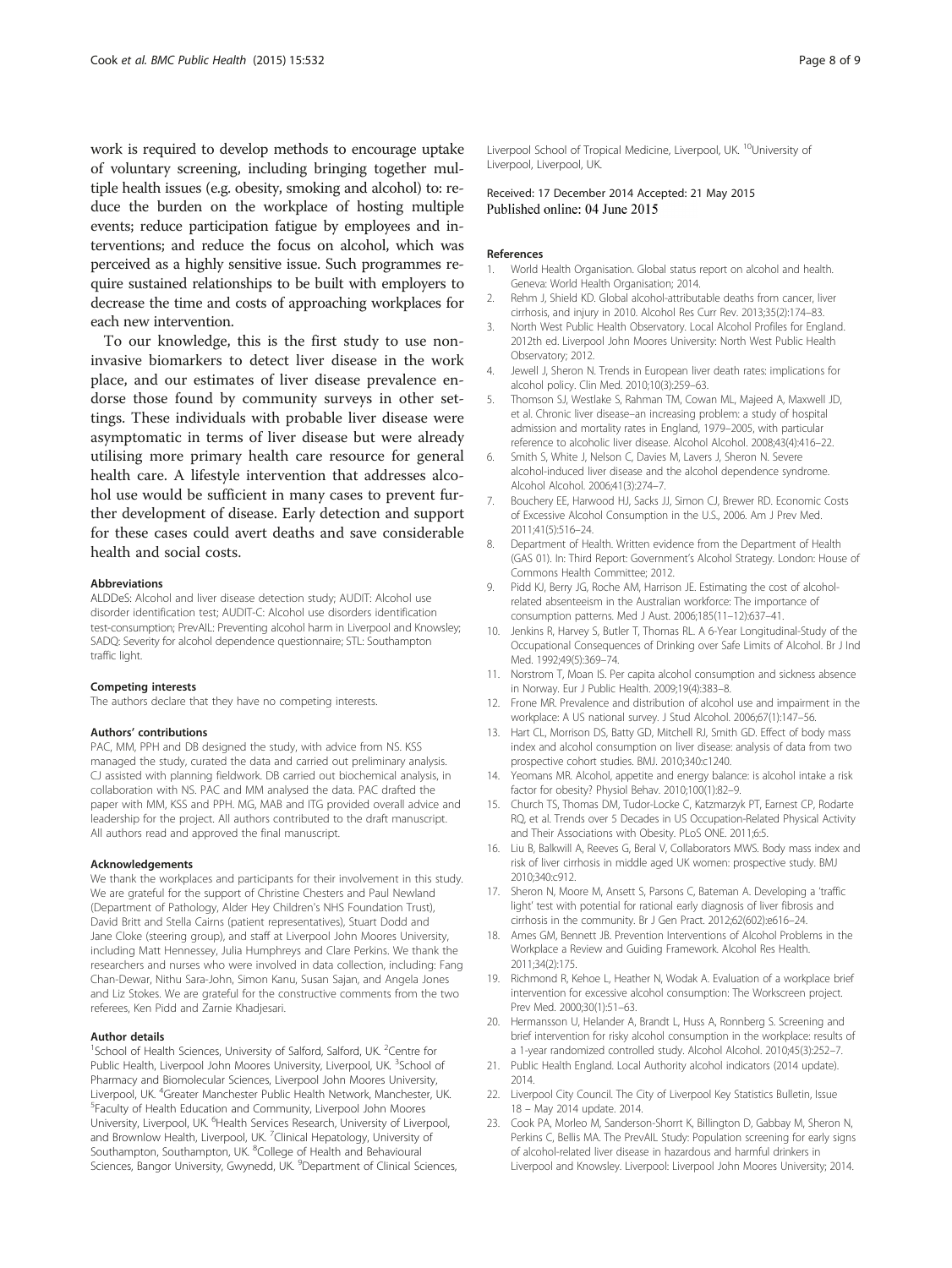<span id="page-8-0"></span>work is required to develop methods to encourage uptake of voluntary screening, including bringing together multiple health issues (e.g. obesity, smoking and alcohol) to: reduce the burden on the workplace of hosting multiple events; reduce participation fatigue by employees and interventions; and reduce the focus on alcohol, which was perceived as a highly sensitive issue. Such programmes require sustained relationships to be built with employers to decrease the time and costs of approaching workplaces for each new intervention.

To our knowledge, this is the first study to use noninvasive biomarkers to detect liver disease in the work place, and our estimates of liver disease prevalence endorse those found by community surveys in other settings. These individuals with probable liver disease were asymptomatic in terms of liver disease but were already utilising more primary health care resource for general health care. A lifestyle intervention that addresses alcohol use would be sufficient in many cases to prevent further development of disease. Early detection and support for these cases could avert deaths and save considerable health and social costs.

#### Abbreviations

ALDDeS: Alcohol and liver disease detection study; AUDIT: Alcohol use disorder identification test; AUDIT-C: Alcohol use disorders identification test-consumption; PrevAIL: Preventing alcohol harm in Liverpool and Knowsley; SADQ: Severity for alcohol dependence questionnaire; STL: Southampton traffic light.

#### Competing interests

The authors declare that they have no competing interests.

#### Authors' contributions

PAC, MM, PPH and DB designed the study, with advice from NS. KSS managed the study, curated the data and carried out preliminary analysis. CJ assisted with planning fieldwork. DB carried out biochemical analysis, in collaboration with NS. PAC and MM analysed the data. PAC drafted the paper with MM, KSS and PPH. MG, MAB and ITG provided overall advice and leadership for the project. All authors contributed to the draft manuscript. All authors read and approved the final manuscript.

#### Acknowledgements

We thank the workplaces and participants for their involvement in this study. We are grateful for the support of Christine Chesters and Paul Newland (Department of Pathology, Alder Hey Children's NHS Foundation Trust), David Britt and Stella Cairns (patient representatives), Stuart Dodd and Jane Cloke (steering group), and staff at Liverpool John Moores University, including Matt Hennessey, Julia Humphreys and Clare Perkins. We thank the researchers and nurses who were involved in data collection, including: Fang Chan-Dewar, Nithu Sara-John, Simon Kanu, Susan Sajan, and Angela Jones and Liz Stokes. We are grateful for the constructive comments from the two referees, Ken Pidd and Zarnie Khadjesari.

#### Author details

<sup>1</sup>School of Health Sciences, University of Salford, Salford, UK. <sup>2</sup>Centre for Public Health, Liverpool John Moores University, Liverpool, UK.<sup>3</sup>School of Pharmacy and Biomolecular Sciences, Liverpool John Moores University, Liverpool, UK. <sup>4</sup>Greater Manchester Public Health Network, Manchester, UK.<br><sup>5</sup>Eaculty of Health Education and Community Liverpool, John Moores Faculty of Health Education and Community, Liverpool John Moores University, Liverpool, UK. <sup>6</sup>Health Services Research, University of Liverpool, and Brownlow Health, Liverpool, UK. <sup>7</sup>Clinical Hepatology, University of Southampton, Southampton, UK. <sup>8</sup>College of Health and Behavioural Sciences, Bangor University, Gwynedd, UK. <sup>9</sup>Department of Clinical Sciences,

Liverpool School of Tropical Medicine, Liverpool, UK.<sup>10</sup>University of Liverpool, Liverpool, UK.

# Received: 17 December 2014 Accepted: 21 May 2015<br>Published online: 04 June 2015

#### References

- World Health Organisation. Global status report on alcohol and health. Geneva: World Health Organisation; 2014.
- 2. Rehm J, Shield KD. Global alcohol-attributable deaths from cancer, liver cirrhosis, and injury in 2010. Alcohol Res Curr Rev. 2013;35(2):174–83.
- 3. North West Public Health Observatory. Local Alcohol Profiles for England. 2012th ed. Liverpool John Moores University: North West Public Health Observatory; 2012.
- 4. Jewell J, Sheron N. Trends in European liver death rates: implications for alcohol policy. Clin Med. 2010;10(3):259–63.
- 5. Thomson SJ, Westlake S, Rahman TM, Cowan ML, Majeed A, Maxwell JD, et al. Chronic liver disease–an increasing problem: a study of hospital admission and mortality rates in England, 1979–2005, with particular reference to alcoholic liver disease. Alcohol Alcohol. 2008;43(4):416–22.
- 6. Smith S, White J, Nelson C, Davies M, Lavers J, Sheron N. Severe alcohol-induced liver disease and the alcohol dependence syndrome. Alcohol Alcohol. 2006;41(3):274–7.
- 7. Bouchery EE, Harwood HJ, Sacks JJ, Simon CJ, Brewer RD. Economic Costs of Excessive Alcohol Consumption in the U.S., 2006. Am J Prev Med. 2011;41(5):516–24.
- 8. Department of Health. Written evidence from the Department of Health (GAS 01). In: Third Report: Government's Alcohol Strategy. London: House of Commons Health Committee; 2012.
- 9. Pidd KJ, Berry JG, Roche AM, Harrison JE. Estimating the cost of alcoholrelated absenteeism in the Australian workforce: The importance of consumption patterns. Med J Aust. 2006;185(11–12):637–41.
- 10. Jenkins R, Harvey S, Butler T, Thomas RL. A 6-Year Longitudinal-Study of the Occupational Consequences of Drinking over Safe Limits of Alcohol. Br J Ind Med. 1992;49(5):369–74.
- 11. Norstrom T, Moan IS. Per capita alcohol consumption and sickness absence in Norway. Eur J Public Health. 2009;19(4):383–8.
- 12. Frone MR. Prevalence and distribution of alcohol use and impairment in the workplace: A US national survey. J Stud Alcohol. 2006;67(1):147–56.
- 13. Hart CL, Morrison DS, Batty GD, Mitchell RJ, Smith GD. Effect of body mass index and alcohol consumption on liver disease: analysis of data from two prospective cohort studies. BMJ. 2010;340:c1240.
- 14. Yeomans MR. Alcohol, appetite and energy balance: is alcohol intake a risk factor for obesity? Physiol Behav. 2010;100(1):82–9.
- 15. Church TS, Thomas DM, Tudor-Locke C, Katzmarzyk PT, Earnest CP, Rodarte RQ, et al. Trends over 5 Decades in US Occupation-Related Physical Activity and Their Associations with Obesity. PLoS ONE. 2011;6:5.
- 16. Liu B, Balkwill A, Reeves G, Beral V, Collaborators MWS. Body mass index and risk of liver cirrhosis in middle aged UK women: prospective study. BMJ 2010;340:c912.
- 17. Sheron N, Moore M, Ansett S, Parsons C, Bateman A. Developing a 'traffic light' test with potential for rational early diagnosis of liver fibrosis and cirrhosis in the community. Br J Gen Pract. 2012;62(602):e616–24.
- 18. Ames GM, Bennett JB. Prevention Interventions of Alcohol Problems in the Workplace a Review and Guiding Framework. Alcohol Res Health. 2011;34(2):175.
- 19. Richmond R, Kehoe L, Heather N, Wodak A. Evaluation of a workplace brief intervention for excessive alcohol consumption: The Workscreen project. Prev Med. 2000;30(1):51–63.
- 20. Hermansson U, Helander A, Brandt L, Huss A, Ronnberg S. Screening and brief intervention for risky alcohol consumption in the workplace: results of a 1-year randomized controlled study. Alcohol Alcohol. 2010;45(3):252–7.
- 21. Public Health England. Local Authority alcohol indicators (2014 update). 2014.
- 22. Liverpool City Council. The City of Liverpool Key Statistics Bulletin, Issue 18 – May 2014 update. 2014.
- 23. Cook PA, Morleo M, Sanderson-Shorrt K, Billington D, Gabbay M, Sheron N, Perkins C, Bellis MA. The PrevAIL Study: Population screening for early signs of alcohol-related liver disease in hazardous and harmful drinkers in Liverpool and Knowsley. Liverpool: Liverpool John Moores University; 2014.